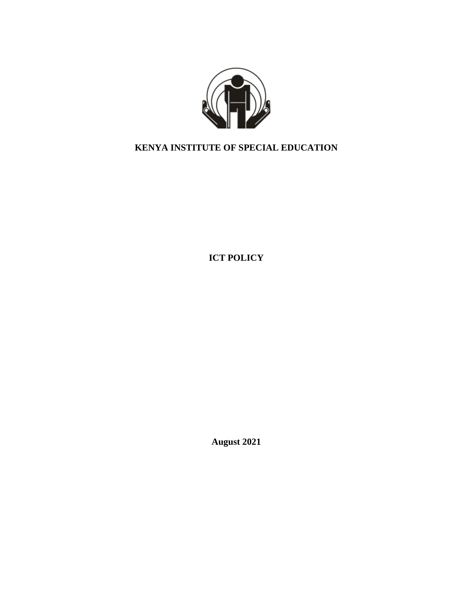

# **KENYA INSTITUTE OF SPECIAL EDUCATION**

**ICT POLICY**

**August 2021**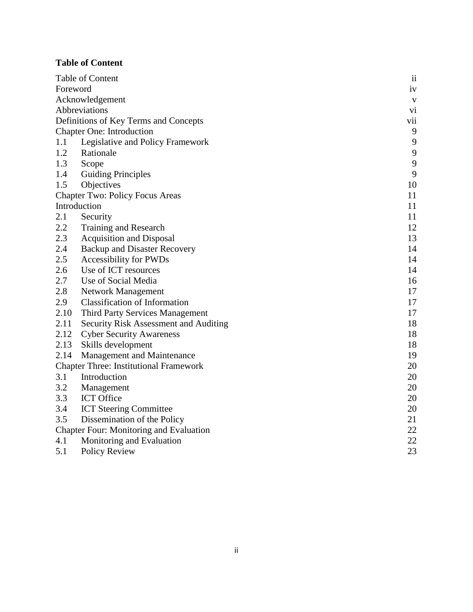## <span id="page-1-0"></span>**Table of Content**

| Table of Content                                     |                                       | $\overline{\mathbf{u}}$ |
|------------------------------------------------------|---------------------------------------|-------------------------|
| Foreword                                             |                                       | iv                      |
| Acknowledgement                                      |                                       | V                       |
| Abbreviations<br>vi                                  |                                       |                         |
| Definitions of Key Terms and Concepts                |                                       | vii                     |
| 9<br><b>Chapter One: Introduction</b>                |                                       |                         |
| 1.1                                                  | Legislative and Policy Framework      | 9                       |
| 1.2                                                  | Rationale                             | 9                       |
| 1.3                                                  | Scope                                 | 9                       |
| 1.4                                                  | <b>Guiding Principles</b>             | 9                       |
| 1.5                                                  | Objectives                            | 10                      |
| <b>Chapter Two: Policy Focus Areas</b>               |                                       | 11                      |
| Introduction                                         |                                       | 11                      |
| 2.1                                                  | Security                              | 11                      |
| 2.2                                                  | Training and Research                 | 12                      |
| 2.3                                                  | <b>Acquisition and Disposal</b>       | 13                      |
| 2.4                                                  | <b>Backup and Disaster Recovery</b>   | 14                      |
| 2.5                                                  | <b>Accessibility for PWDs</b>         | 14                      |
| 2.6                                                  | Use of ICT resources                  | 14                      |
| 2.7                                                  | Use of Social Media                   | 16                      |
| 2.8                                                  | Network Management                    | 17                      |
| 2.9                                                  | <b>Classification of Information</b>  | 17                      |
| 2.10                                                 | Third Party Services Management       | 17                      |
| 2.11                                                 | Security Risk Assessment and Auditing | 18                      |
| 2.12                                                 | <b>Cyber Security Awareness</b>       | 18                      |
| 2.13                                                 | Skills development                    | 18                      |
| 2.14                                                 | <b>Management and Maintenance</b>     | 19                      |
| <b>Chapter Three: Institutional Framework</b><br>20  |                                       |                         |
| 3.1                                                  | Introduction                          | 20                      |
| 3.2                                                  | Management                            | 20                      |
| 3.3                                                  | <b>ICT</b> Office                     | 20                      |
| 3.4                                                  | <b>ICT Steering Committee</b>         | 20                      |
| 3.5                                                  | Dissemination of the Policy           | 21                      |
| 22<br><b>Chapter Four: Monitoring and Evaluation</b> |                                       |                         |
| 4.1                                                  | Monitoring and Evaluation             | 22                      |
| 5.1                                                  | <b>Policy Review</b>                  | 23                      |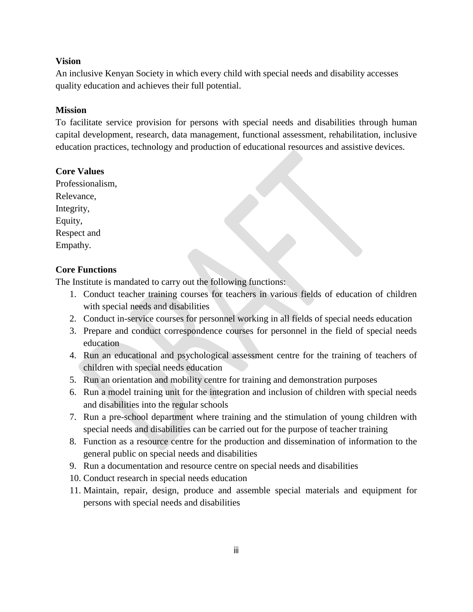#### **Vision**

An inclusive Kenyan Society in which every child with special needs and disability accesses quality education and achieves their full potential.

#### **Mission**

To facilitate service provision for persons with special needs and disabilities through human capital development, research, data management, functional assessment, rehabilitation, inclusive education practices, technology and production of educational resources and assistive devices.

#### **Core Values**

Professionalism, Relevance, Integrity, Equity, Respect and Empathy.

#### **Core Functions**

The Institute is mandated to carry out the following functions:

- 1. Conduct teacher training courses for teachers in various fields of education of children with special needs and disabilities
- 2. Conduct in-service courses for personnel working in all fields of special needs education
- 3. Prepare and conduct correspondence courses for personnel in the field of special needs education
- 4. Run an educational and psychological assessment centre for the training of teachers of children with special needs education
- 5. Run an orientation and mobility centre for training and demonstration purposes
- 6. Run a model training unit for the integration and inclusion of children with special needs and disabilities into the regular schools
- 7. Run a pre-school department where training and the stimulation of young children with special needs and disabilities can be carried out for the purpose of teacher training
- 8. Function as a resource centre for the production and dissemination of information to the general public on special needs and disabilities
- 9. Run a documentation and resource centre on special needs and disabilities
- 10. Conduct research in special needs education
- 11. Maintain, repair, design, produce and assemble special materials and equipment for persons with special needs and disabilities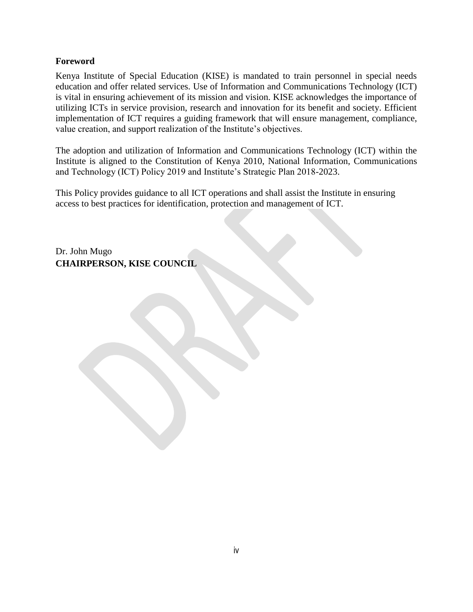#### <span id="page-3-0"></span>**Foreword**

Kenya Institute of Special Education (KISE) is mandated to train personnel in special needs education and offer related services. Use of Information and Communications Technology (ICT) is vital in ensuring achievement of its mission and vision. KISE acknowledges the importance of utilizing ICTs in service provision, research and innovation for its benefit and society. Efficient implementation of ICT requires a guiding framework that will ensure management, compliance, value creation, and support realization of the Institute's objectives.

The adoption and utilization of Information and Communications Technology (ICT) within the Institute is aligned to the Constitution of Kenya 2010, National Information, Communications and Technology (ICT) Policy 2019 and Institute's Strategic Plan 2018-2023.

This Policy provides guidance to all ICT operations and shall assist the Institute in ensuring access to best practices for identification, protection and management of ICT.

Dr. John Mugo **CHAIRPERSON, KISE COUNCIL**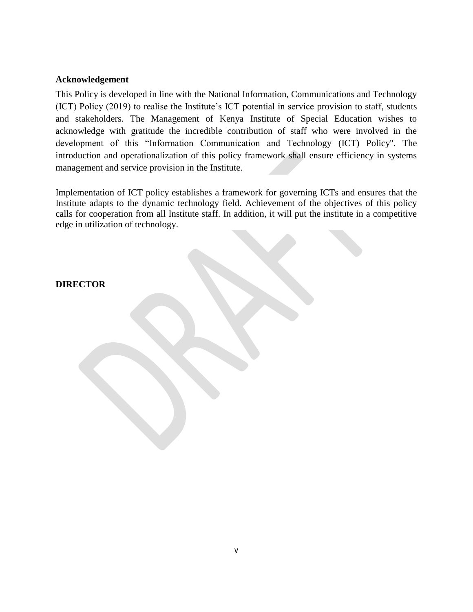#### <span id="page-4-0"></span>**Acknowledgement**

This Policy is developed in line with the National Information, Communications and Technology (ICT) Policy (2019) to realise the Institute's ICT potential in service provision to staff, students and stakeholders. The Management of Kenya Institute of Special Education wishes to acknowledge with gratitude the incredible contribution of staff who were involved in the development of this "Information Communication and Technology (ICT) Policy''. The introduction and operationalization of this policy framework shall ensure efficiency in systems management and service provision in the Institute.

Implementation of ICT policy establishes a framework for governing ICTs and ensures that the Institute adapts to the dynamic technology field. Achievement of the objectives of this policy calls for cooperation from all Institute staff. In addition, it will put the institute in a competitive edge in utilization of technology.

#### **DIRECTOR**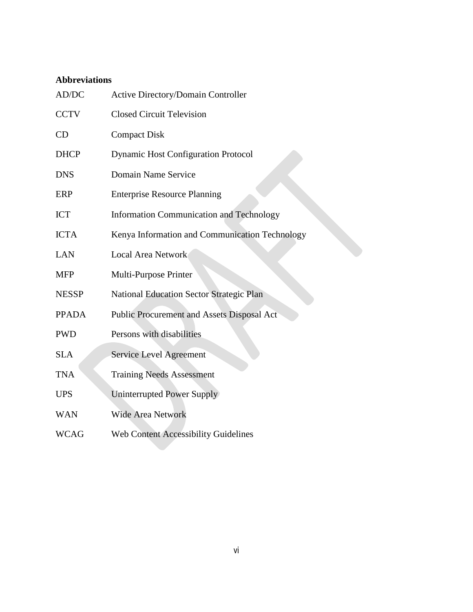## <span id="page-5-0"></span>**Abbreviations**

| AD/DC        | Active Directory/Domain Controller              |
|--------------|-------------------------------------------------|
| <b>CCTV</b>  | <b>Closed Circuit Television</b>                |
| CD           | <b>Compact Disk</b>                             |
| <b>DHCP</b>  | <b>Dynamic Host Configuration Protocol</b>      |
| <b>DNS</b>   | Domain Name Service                             |
| ERP          | <b>Enterprise Resource Planning</b>             |
| <b>ICT</b>   | <b>Information Communication and Technology</b> |
| <b>ICTA</b>  | Kenya Information and Communication Technology  |
| <b>LAN</b>   | Local Area Network                              |
| <b>MFP</b>   | Multi-Purpose Printer                           |
| <b>NESSP</b> | <b>National Education Sector Strategic Plan</b> |
| <b>PPADA</b> | Public Procurement and Assets Disposal Act      |
| <b>PWD</b>   | Persons with disabilities                       |
| <b>SLA</b>   | <b>Service Level Agreement</b>                  |
| <b>TNA</b>   | <b>Training Needs Assessment</b>                |
| <b>UPS</b>   | Uninterrupted Power Supply                      |
| <b>WAN</b>   | <b>Wide Area Network</b>                        |
| <b>WCAG</b>  | <b>Web Content Accessibility Guidelines</b>     |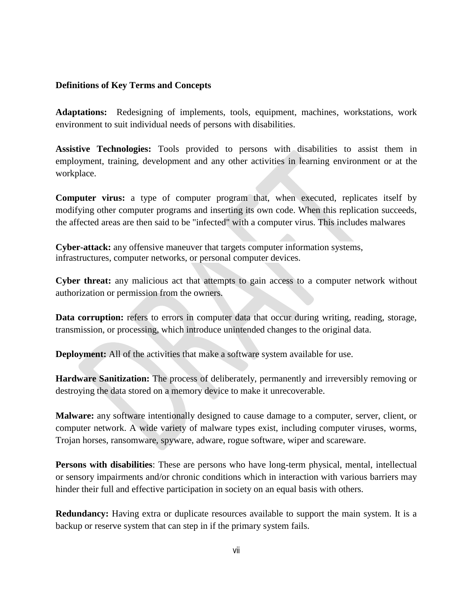#### <span id="page-6-0"></span>**Definitions of Key Terms and Concepts**

**Adaptations:** Redesigning of implements, tools, equipment, machines, workstations, work environment to suit individual needs of persons with disabilities.

**Assistive Technologies:** Tools provided to persons with disabilities to assist them in employment, training, development and any other activities in learning environment or at the workplace.

**Computer virus:** a type of computer program that, when executed, replicates itself by modifying other computer programs and inserting its own code. When this replication succeeds, the affected areas are then said to be "infected" with a computer virus. This includes malwares

**Cyber-attack:** any offensive maneuver that targets computer information systems, infrastructures, computer networks, or personal computer devices.

**Cyber threat:** any malicious act that attempts to gain access to a computer network without authorization or permission from the owners.

Data corruption: refers to errors in computer data that occur during writing, reading, storage, transmission, or processing, which introduce unintended changes to the original data.

**Deployment:** All of the activities that make a software system available for use.

**Hardware Sanitization:** The process of deliberately, permanently and irreversibly removing or destroying the data stored on a memory device to make it unrecoverable.

**Malware:** any software intentionally designed to cause damage to a computer, server, client, or computer network. A wide variety of malware types exist, including computer viruses, worms, Trojan horses, ransomware, spyware, adware, rogue software, wiper and scareware.

**Persons with disabilities**: These are persons who have long-term physical, mental, intellectual or sensory impairments and/or chronic conditions which in interaction with various barriers may hinder their full and effective participation in society on an equal basis with others.

**Redundancy:** Having extra or duplicate resources available to support the main system. It is a backup or reserve system that can step in if the primary system fails.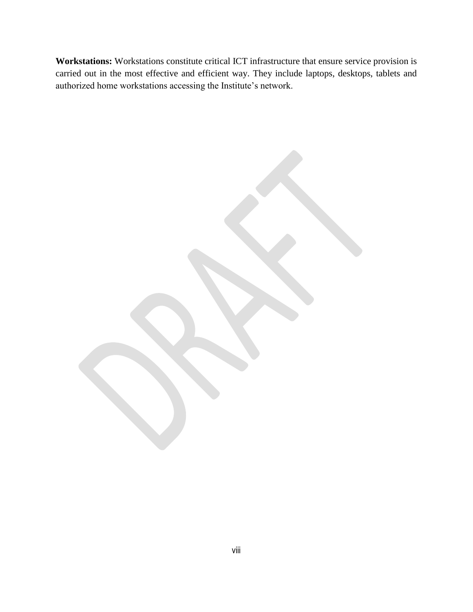**Workstations:** Workstations constitute critical ICT infrastructure that ensure service provision is carried out in the most effective and efficient way. They include laptops, desktops, tablets and authorized home workstations accessing the Institute's network.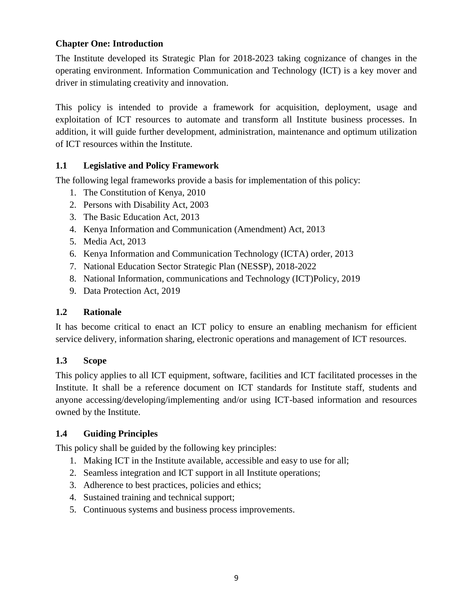### <span id="page-8-0"></span>**Chapter One: Introduction**

The Institute developed its Strategic Plan for 2018-2023 taking cognizance of changes in the operating environment. Information Communication and Technology (ICT) is a key mover and driver in stimulating creativity and innovation.

This policy is intended to provide a framework for acquisition, deployment, usage and exploitation of ICT resources to automate and transform all Institute business processes. In addition, it will guide further development, administration, maintenance and optimum utilization of ICT resources within the Institute.

## <span id="page-8-1"></span>**1.1 Legislative and Policy Framework**

The following legal frameworks provide a basis for implementation of this policy:

- 1. The Constitution of Kenya, 2010
- 2. Persons with Disability Act, 2003
- 3. The Basic Education Act, 2013
- 4. Kenya Information and Communication (Amendment) Act, 2013
- 5. Media Act, 2013
- 6. Kenya Information and Communication Technology (ICTA) order, 2013
- 7. National Education Sector Strategic Plan (NESSP), 2018-2022
- 8. National Information, communications and Technology (ICT)Policy, 2019
- 9. Data Protection Act, 2019

### <span id="page-8-2"></span>**1.2 Rationale**

It has become critical to enact an ICT policy to ensure an enabling mechanism for efficient service delivery, information sharing, electronic operations and management of ICT resources.

### <span id="page-8-3"></span>**1.3 Scope**

This policy applies to all ICT equipment, software, facilities and ICT facilitated processes in the Institute. It shall be a reference document on ICT standards for Institute staff, students and anyone accessing/developing/implementing and/or using ICT-based information and resources owned by the Institute.

# <span id="page-8-4"></span>**1.4 Guiding Principles**

This policy shall be guided by the following key principles:

- 1. Making ICT in the Institute available, accessible and easy to use for all;
- 2. Seamless integration and ICT support in all Institute operations;
- 3. Adherence to best practices, policies and ethics;
- 4. Sustained training and technical support;
- 5. Continuous systems and business process improvements.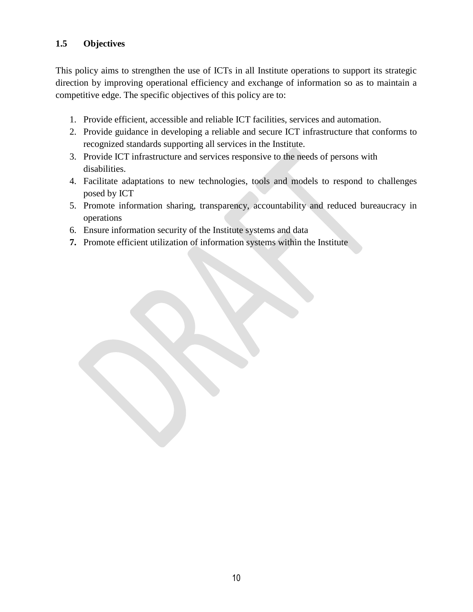## <span id="page-9-0"></span>**1.5 Objectives**

This policy aims to strengthen the use of ICTs in all Institute operations to support its strategic direction by improving operational efficiency and exchange of information so as to maintain a competitive edge. The specific objectives of this policy are to:

- 1. Provide efficient, accessible and reliable ICT facilities, services and automation.
- 2. Provide guidance in developing a reliable and secure ICT infrastructure that conforms to recognized standards supporting all services in the Institute.
- 3. Provide ICT infrastructure and services responsive to the needs of persons with disabilities.
- 4. Facilitate adaptations to new technologies, tools and models to respond to challenges posed by ICT
- 5. Promote information sharing, transparency, accountability and reduced bureaucracy in operations
- 6. Ensure information security of the Institute systems and data
- **7.** Promote efficient utilization of information systems within the Institute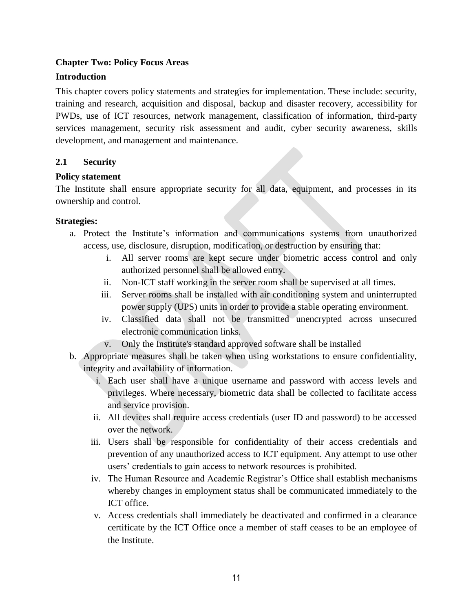### <span id="page-10-0"></span>**Chapter Two: Policy Focus Areas**

#### <span id="page-10-1"></span>**Introduction**

This chapter covers policy statements and strategies for implementation. These include: security, training and research, acquisition and disposal, backup and disaster recovery, accessibility for PWDs, use of ICT resources, network management, classification of information, third-party services management, security risk assessment and audit, cyber security awareness, skills development, and management and maintenance.

#### <span id="page-10-2"></span>**2.1 Security**

#### **Policy statement**

The Institute shall ensure appropriate security for all data, equipment, and processes in its ownership and control.

#### **Strategies:**

- a. Protect the Institute's information and communications systems from unauthorized access, use, disclosure, disruption, modification, or destruction by ensuring that:
	- i. All server rooms are kept secure under biometric access control and only authorized personnel shall be allowed entry.
	- ii. Non-ICT staff working in the server room shall be supervised at all times.
	- iii. Server rooms shall be installed with air conditioning system and uninterrupted power supply (UPS) units in order to provide a stable operating environment.
	- iv. Classified data shall not be transmitted unencrypted across unsecured electronic communication links.
	- v. Only the Institute's standard approved software shall be installed
- b. Appropriate measures shall be taken when using workstations to ensure confidentiality, integrity and availability of information.
	- i. Each user shall have a unique username and password with access levels and privileges. Where necessary, biometric data shall be collected to facilitate access and service provision.
	- ii. All devices shall require access credentials (user ID and password) to be accessed over the network.
	- iii. Users shall be responsible for confidentiality of their access credentials and prevention of any unauthorized access to ICT equipment. Any attempt to use other users' credentials to gain access to network resources is prohibited.
	- iv. The Human Resource and Academic Registrar's Office shall establish mechanisms whereby changes in employment status shall be communicated immediately to the ICT office.
	- v. Access credentials shall immediately be deactivated and confirmed in a clearance certificate by the ICT Office once a member of staff ceases to be an employee of the Institute.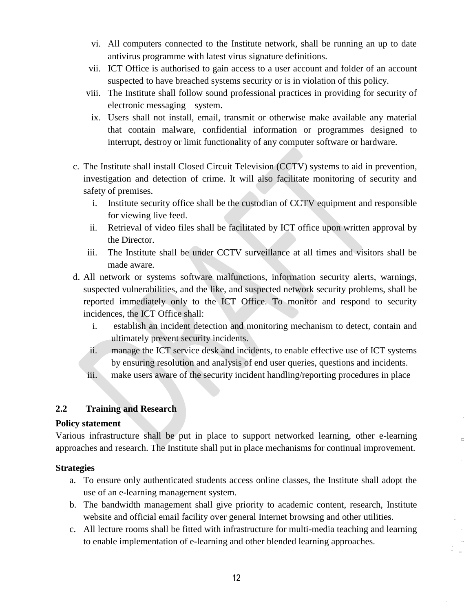- vi. All computers connected to the Institute network, shall be running an up to date antivirus programme with latest virus signature definitions.
- vii. ICT Office is authorised to gain access to a user account and folder of an account suspected to have breached systems security or is in violation of this policy.
- viii. The Institute shall follow sound professional practices in providing for security of electronic messaging system.
- ix. Users shall not install, email, transmit or otherwise make available any material that contain malware, confidential information or programmes designed to interrupt, destroy or limit functionality of any computer software or hardware.
- c. The Institute shall install Closed Circuit Television (CCTV) systems to aid in prevention, investigation and detection of crime. It will also facilitate monitoring of security and safety of premises.
	- i. Institute security office shall be the custodian of CCTV equipment and responsible for viewing live feed.
	- ii. Retrieval of video files shall be facilitated by ICT office upon written approval by the Director.
	- iii. The Institute shall be under CCTV surveillance at all times and visitors shall be made aware.
- d. All network or systems software malfunctions, information security alerts, warnings, suspected vulnerabilities, and the like, and suspected network security problems, shall be reported immediately only to the ICT Office. To monitor and respond to security incidences, the ICT Office shall:
	- i. establish an incident detection and monitoring mechanism to detect, contain and ultimately prevent security incidents.
	- ii. manage the ICT service desk and incidents, to enable effective use of ICT systems by ensuring resolution and analysis of end user queries, questions and incidents.

 $\mathcal{L}^{\text{max}}_{\text{max}}$ 

<span id="page-11-0"></span>iii. make users aware of the security incident handling/reporting procedures in place

### **2.2 Training and Research**

### **Policy statement**

Various infrastructure shall be put in place to support networked learning, other e-learning approaches and research. The Institute shall put in place mechanisms for continual improvement.

### **Strategies**

- a. To ensure only authenticated students access online classes, the Institute shall adopt the use of an e-learning management system.
- b. The bandwidth management shall give priority to academic content, research, Institute website and official email facility over general Internet browsing and other utilities.
- c. All lecture rooms shall be fitted with infrastructure for multi-media teaching and learning to enable implementation of e-learning and other blended learning approaches.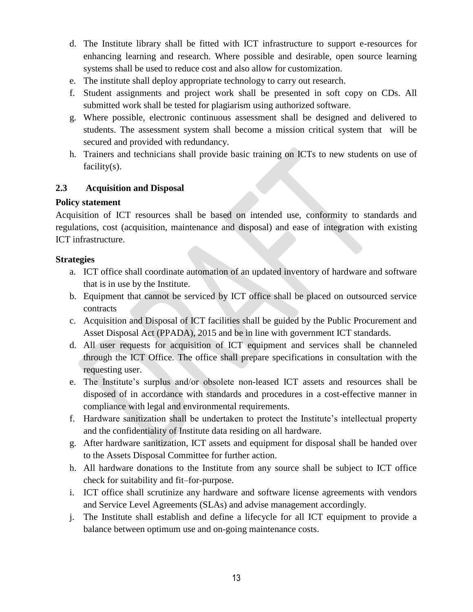- d. The Institute library shall be fitted with ICT infrastructure to support e-resources for enhancing learning and research. Where possible and desirable, open source learning systems shall be used to reduce cost and also allow for customization.
- e. The institute shall deploy appropriate technology to carry out research.
- f. Student assignments and project work shall be presented in soft copy on CDs. All submitted work shall be tested for plagiarism using authorized software.
- g. Where possible, electronic continuous assessment shall be designed and delivered to students. The assessment system shall become a mission critical system that will be secured and provided with redundancy.
- <span id="page-12-0"></span>h. Trainers and technicians shall provide basic training on ICTs to new students on use of facility(s).

### **2.3 Acquisition and Disposal**

#### **Policy statement**

Acquisition of ICT resources shall be based on intended use, conformity to standards and regulations, cost (acquisition, maintenance and disposal) and ease of integration with existing ICT infrastructure.

#### **Strategies**

- a. ICT office shall coordinate automation of an updated inventory of hardware and software that is in use by the Institute.
- b. Equipment that cannot be serviced by ICT office shall be placed on outsourced service contracts
- c. Acquisition and Disposal of ICT facilities shall be guided by the Public Procurement and Asset Disposal Act (PPADA), 2015 and be in line with government ICT standards.
- d. All user requests for acquisition of ICT equipment and services shall be channeled through the ICT Office. The office shall prepare specifications in consultation with the requesting user.
- e. The Institute's surplus and/or obsolete non-leased ICT assets and resources shall be disposed of in accordance with standards and procedures in a cost-effective manner in compliance with legal and environmental requirements.
- f. Hardware sanitization shall be undertaken to protect the Institute's intellectual property and the confidentiality of Institute data residing on all hardware.
- g. After hardware sanitization, ICT assets and equipment for disposal shall be handed over to the Assets Disposal Committee for further action.
- h. All hardware donations to the Institute from any source shall be subject to ICT office check for suitability and fit–for-purpose.
- i. ICT office shall scrutinize any hardware and software license agreements with vendors and Service Level Agreements (SLAs) and advise management accordingly.
- j. The Institute shall establish and define a lifecycle for all ICT equipment to provide a balance between optimum use and on-going maintenance costs.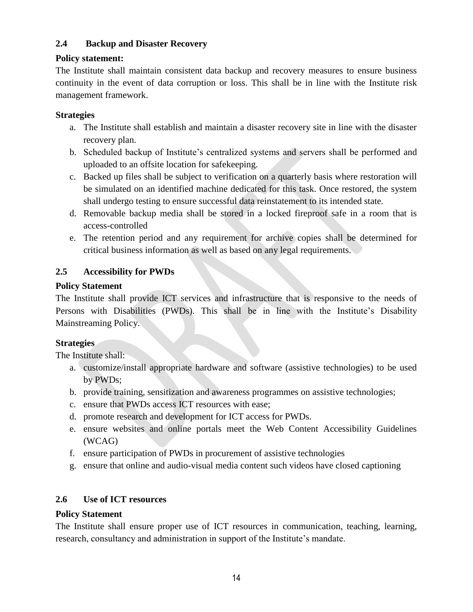### <span id="page-13-0"></span>**2.4 Backup and Disaster Recovery**

#### **Policy statement:**

The Institute shall maintain consistent data backup and recovery measures to ensure business continuity in the event of data corruption or loss. This shall be in line with the Institute risk management framework.

#### **Strategies**

- a. The Institute shall establish and maintain a disaster recovery site in line with the disaster recovery plan.
- b. Scheduled backup of Institute's centralized systems and servers shall be performed and uploaded to an offsite location for safekeeping.
- c. Backed up files shall be subject to verification on a quarterly basis where restoration will be simulated on an identified machine dedicated for this task. Once restored, the system shall undergo testing to ensure successful data reinstatement to its intended state.
- d. Removable backup media shall be stored in a locked fireproof safe in a room that is access-controlled
- e. The retention period and any requirement for archive copies shall be determined for critical business information as well as based on any legal requirements.

### <span id="page-13-1"></span>**2.5 Accessibility for PWDs**

### **Policy Statement**

The Institute shall provide ICT services and infrastructure that is responsive to the needs of Persons with Disabilities (PWDs). This shall be in line with the Institute's Disability Mainstreaming Policy.

### **Strategies**

The Institute shall:

- a. customize/install appropriate hardware and software (assistive technologies) to be used by PWDs;
- b. provide training, sensitization and awareness programmes on assistive technologies;
- c. ensure that PWDs access ICT resources with ease;
- d. promote research and development for ICT access for PWDs.
- e. ensure websites and online portals meet the Web Content Accessibility Guidelines (WCAG)
- f. ensure participation of PWDs in procurement of assistive technologies
- g. ensure that online and audio-visual media content such videos have closed captioning

### <span id="page-13-2"></span>**2.6 Use of ICT resources**

#### **Policy Statement**

The Institute shall ensure proper use of ICT resources in communication, teaching, learning, research, consultancy and administration in support of the Institute's mandate.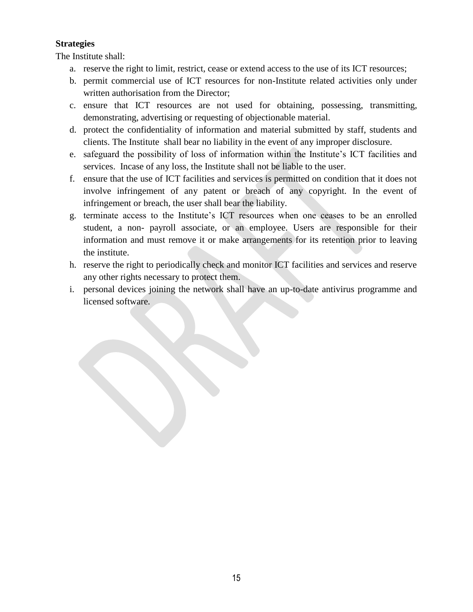### **Strategies**

The Institute shall:

- a. reserve the right to limit, restrict, cease or extend access to the use of its ICT resources;
- b. permit commercial use of ICT resources for non-Institute related activities only under written authorisation from the Director;
- c. ensure that ICT resources are not used for obtaining, possessing, transmitting, demonstrating, advertising or requesting of objectionable material.
- d. protect the confidentiality of information and material submitted by staff, students and clients. The Institute shall bear no liability in the event of any improper disclosure.
- e. safeguard the possibility of loss of information within the Institute's ICT facilities and services. Incase of any loss, the Institute shall not be liable to the user.
- f. ensure that the use of ICT facilities and services is permitted on condition that it does not involve infringement of any patent or breach of any copyright. In the event of infringement or breach, the user shall bear the liability.
- g. terminate access to the Institute's ICT resources when one ceases to be an enrolled student, a non- payroll associate, or an employee. Users are responsible for their information and must remove it or make arrangements for its retention prior to leaving the institute.
- h. reserve the right to periodically check and monitor ICT facilities and services and reserve any other rights necessary to protect them.
- i. personal devices joining the network shall have an up-to-date antivirus programme and licensed software.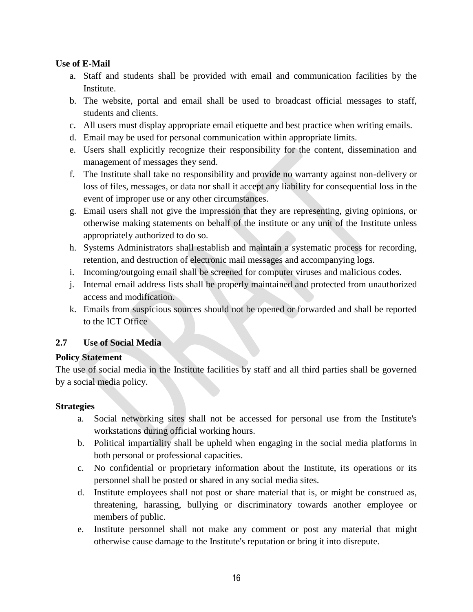## **Use of E-Mail**

- a. Staff and students shall be provided with email and communication facilities by the Institute.
- b. The website, portal and email shall be used to broadcast official messages to staff, students and clients.
- c. All users must display appropriate email etiquette and best practice when writing emails.
- d. Email may be used for personal communication within appropriate limits.
- e. Users shall explicitly recognize their responsibility for the content, dissemination and management of messages they send.
- f. The Institute shall take no responsibility and provide no warranty against non-delivery or loss of files, messages, or data nor shall it accept any liability for consequential loss in the event of improper use or any other circumstances.
- g. Email users shall not give the impression that they are representing, giving opinions, or otherwise making statements on behalf of the institute or any unit of the Institute unless appropriately authorized to do so.
- h. Systems Administrators shall establish and maintain a systematic process for recording, retention, and destruction of electronic mail messages and accompanying logs.
- i. Incoming/outgoing email shall be screened for computer viruses and malicious codes.
- j. Internal email address lists shall be properly maintained and protected from unauthorized access and modification.
- k. Emails from suspicious sources should not be opened or forwarded and shall be reported to the ICT Office

### <span id="page-15-0"></span>**2.7 Use of Social Media**

### **Policy Statement**

The use of social media in the Institute facilities by staff and all third parties shall be governed by a social media policy.

### **Strategies**

- a. Social networking sites shall not be accessed for personal use from the Institute's workstations during official working hours.
- b. Political impartiality shall be upheld when engaging in the social media platforms in both personal or professional capacities.
- c. No confidential or proprietary information about the Institute, its operations or its personnel shall be posted or shared in any social media sites.
- d. Institute employees shall not post or share material that is, or might be construed as, threatening, harassing, bullying or discriminatory towards another employee or members of public.
- e. Institute personnel shall not make any comment or post any material that might otherwise cause damage to the Institute's reputation or bring it into disrepute.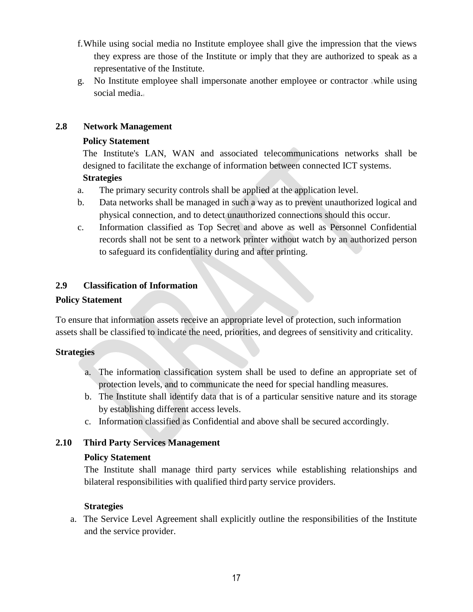- f.While using social media no Institute employee shall give the impression that the views they express are those of the Institute or imply that they are authorized to speak as a representative of the Institute.
- g. No Institute employee shall impersonate another employee or contractor while using social media.

### <span id="page-16-0"></span>**2.8 Network Management**

### **Policy Statement**

The Institute's LAN, WAN and associated telecommunications networks shall be designed to facilitate the exchange of information between connected ICT systems.

## **Strategies**

- a. The primary security controls shall be applied at the application level.
- b. Data networks shall be managed in such a way as to prevent unauthorized logical and physical connection, and to detect unauthorized connections should this occur.
- c. Information classified as Top Secret and above as well as Personnel Confidential records shall not be sent to a network printer without watch by an authorized person to safeguard its confidentiality during and after printing.

# <span id="page-16-1"></span>**2.9 Classification of Information**

### **Policy Statement**

To ensure that information assets receive an appropriate level of protection, such information assets shall be classified to indicate the need, priorities, and degrees of sensitivity and criticality.

### **Strategies**

- a. The information classification system shall be used to define an appropriate set of protection levels, and to communicate the need for special handling measures.
- b. The Institute shall identify data that is of a particular sensitive nature and its storage by establishing different access levels.
- c. Information classified as Confidential and above shall be secured accordingly.

# <span id="page-16-2"></span>**2.10 Third Party Services Management**

### **Policy Statement**

The Institute shall manage third party services while establishing relationships and bilateral responsibilities with qualified third party service providers.

### **Strategies**

a. The Service Level Agreement shall explicitly outline the responsibilities of the Institute and the service provider.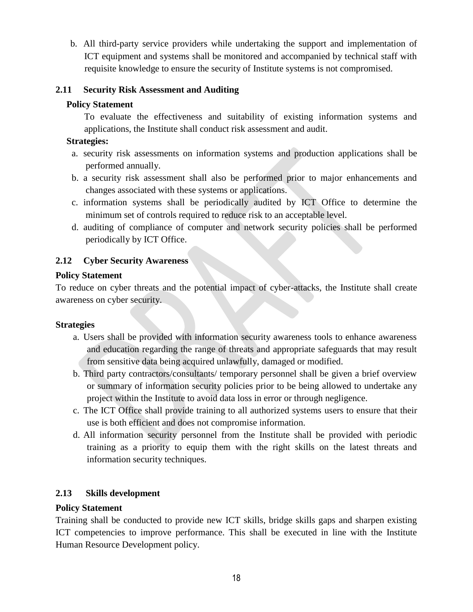b. All third-party service providers while undertaking the support and implementation of ICT equipment and systems shall be monitored and accompanied by technical staff with requisite knowledge to ensure the security of Institute systems is not compromised.

## <span id="page-17-0"></span>**2.11 Security Risk Assessment and Auditing**

### **Policy Statement**

To evaluate the effectiveness and suitability of existing information systems and applications, the Institute shall conduct risk assessment and audit.

### **Strategies:**

- a. security risk assessments on information systems and production applications shall be performed annually.
- b. a security risk assessment shall also be performed prior to major enhancements and changes associated with these systems or applications.
- c. information systems shall be periodically audited by ICT Office to determine the minimum set of controls required to reduce risk to an acceptable level.
- d. auditing of compliance of computer and network security policies shall be performed periodically by ICT Office.

## <span id="page-17-1"></span>**2.12 Cyber Security Awareness**

### **Policy Statement**

To reduce on cyber threats and the potential impact of cyber-attacks, the Institute shall create awareness on cyber security.

### **Strategies**

- a. Users shall be provided with information security awareness tools to enhance awareness and education regarding the range of threats and appropriate safeguards that may result from sensitive data being acquired unlawfully, damaged or modified.
- b. Third party contractors/consultants/ temporary personnel shall be given a brief overview or summary of information security policies prior to be being allowed to undertake any project within the Institute to avoid data loss in error or through negligence.
- c. The ICT Office shall provide training to all authorized systems users to ensure that their use is both efficient and does not compromise information.
- d. All information security personnel from the Institute shall be provided with periodic training as a priority to equip them with the right skills on the latest threats and information security techniques.

# <span id="page-17-2"></span>**2.13 Skills development**

### **Policy Statement**

Training shall be conducted to provide new ICT skills, bridge skills gaps and sharpen existing ICT competencies to improve performance. This shall be executed in line with the Institute Human Resource Development policy.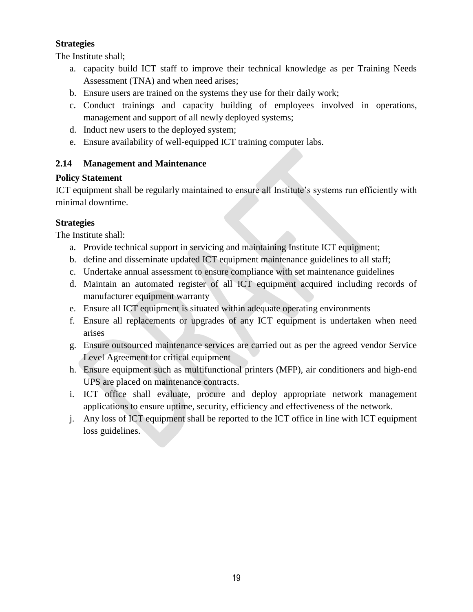## **Strategies**

The Institute shall;

- a. capacity build ICT staff to improve their technical knowledge as per Training Needs Assessment (TNA) and when need arises;
- b. Ensure users are trained on the systems they use for their daily work;
- c. Conduct trainings and capacity building of employees involved in operations, management and support of all newly deployed systems;
- d. Induct new users to the deployed system;
- e. Ensure availability of well-equipped ICT training computer labs.

# <span id="page-18-0"></span>**2.14 Management and Maintenance**

# **Policy Statement**

ICT equipment shall be regularly maintained to ensure all Institute's systems run efficiently with minimal downtime.

# **Strategies**

The Institute shall:

- a. Provide technical support in servicing and maintaining Institute ICT equipment;
- b. define and disseminate updated ICT equipment maintenance guidelines to all staff;
- c. Undertake annual assessment to ensure compliance with set maintenance guidelines
- d. Maintain an automated register of all ICT equipment acquired including records of manufacturer equipment warranty
- e. Ensure all ICT equipment is situated within adequate operating environments
- f. Ensure all replacements or upgrades of any ICT equipment is undertaken when need arises
- g. Ensure outsourced maintenance services are carried out as per the agreed vendor Service Level Agreement for critical equipment
- h. Ensure equipment such as multifunctional printers (MFP), air conditioners and high-end UPS are placed on maintenance contracts.
- i. ICT office shall evaluate, procure and deploy appropriate network management applications to ensure uptime, security, efficiency and effectiveness of the network.
- j. Any loss of ICT equipment shall be reported to the ICT office in line with ICT equipment loss guidelines.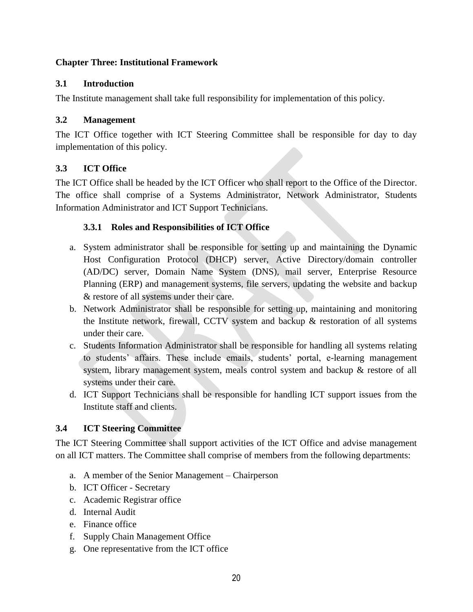### <span id="page-19-0"></span>**Chapter Three: Institutional Framework**

## <span id="page-19-1"></span>**3.1 Introduction**

The Institute management shall take full responsibility for implementation of this policy.

## <span id="page-19-2"></span>**3.2 Management**

The ICT Office together with ICT Steering Committee shall be responsible for day to day implementation of this policy.

# <span id="page-19-3"></span>**3.3 ICT Office**

The ICT Office shall be headed by the ICT Officer who shall report to the Office of the Director. The office shall comprise of a Systems Administrator, Network Administrator, Students Information Administrator and ICT Support Technicians.

# **3.3.1 Roles and Responsibilities of ICT Office**

- a. System administrator shall be responsible for setting up and maintaining the Dynamic Host Configuration Protocol (DHCP) server, Active Directory/domain controller (AD/DC) server, Domain Name System (DNS), mail server, Enterprise Resource Planning (ERP) and management systems, file servers, updating the website and backup & restore of all systems under their care.
- b. Network Administrator shall be responsible for setting up, maintaining and monitoring the Institute network, firewall, CCTV system and backup & restoration of all systems under their care.
- c. Students Information Administrator shall be responsible for handling all systems relating to students' affairs. These include emails, students' portal, e-learning management system, library management system, meals control system and backup & restore of all systems under their care.
- d. ICT Support Technicians shall be responsible for handling ICT support issues from the Institute staff and clients.

# <span id="page-19-4"></span>**3.4 ICT Steering Committee**

The ICT Steering Committee shall support activities of the ICT Office and advise management on all ICT matters. The Committee shall comprise of members from the following departments:

- a. A member of the Senior Management Chairperson
- b. ICT Officer Secretary
- c. Academic Registrar office
- d. Internal Audit
- e. Finance office
- f. Supply Chain Management Office
- g. One representative from the ICT office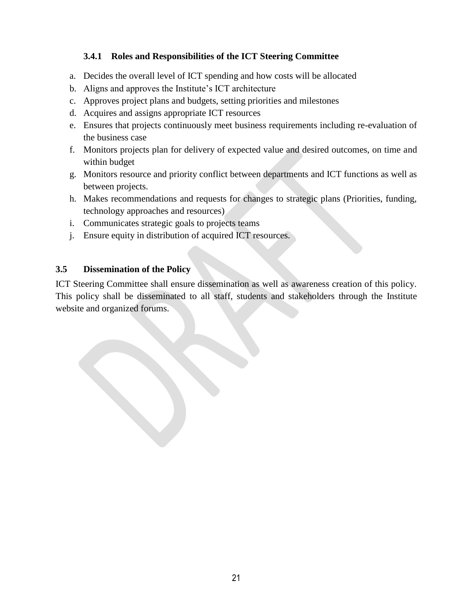## **3.4.1 Roles and Responsibilities of the ICT Steering Committee**

- a. Decides the overall level of ICT spending and how costs will be allocated
- b. Aligns and approves the Institute's ICT architecture
- c. Approves project plans and budgets, setting priorities and milestones
- d. Acquires and assigns appropriate ICT resources
- e. Ensures that projects continuously meet business requirements including re-evaluation of the business case
- f. Monitors projects plan for delivery of expected value and desired outcomes, on time and within budget
- g. Monitors resource and priority conflict between departments and ICT functions as well as between projects.
- h. Makes recommendations and requests for changes to strategic plans (Priorities, funding, technology approaches and resources)
- i. Communicates strategic goals to projects teams
- j. Ensure equity in distribution of acquired ICT resources.

#### <span id="page-20-0"></span>**3.5 Dissemination of the Policy**

ICT Steering Committee shall ensure dissemination as well as awareness creation of this policy. This policy shall be disseminated to all staff, students and stakeholders through the Institute website and organized forums.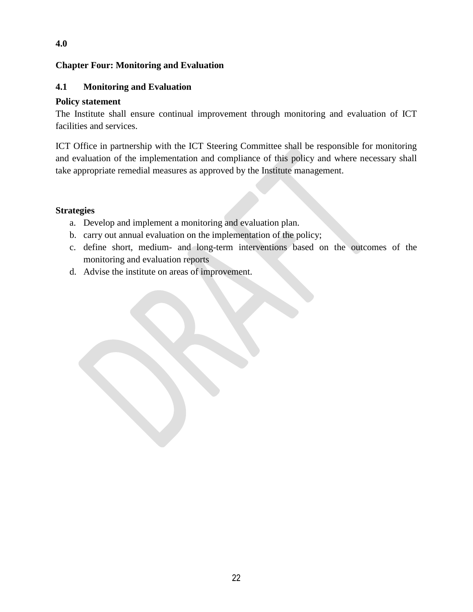## <span id="page-21-0"></span>**Chapter Four: Monitoring and Evaluation**

#### <span id="page-21-1"></span>**4.1 Monitoring and Evaluation**

#### **Policy statement**

**4.0**

The Institute shall ensure continual improvement through monitoring and evaluation of ICT facilities and services.

ICT Office in partnership with the ICT Steering Committee shall be responsible for monitoring and evaluation of the implementation and compliance of this policy and where necessary shall take appropriate remedial measures as approved by the Institute management.

#### **Strategies**

- a. Develop and implement a monitoring and evaluation plan.
- b. carry out annual evaluation on the implementation of the policy;
- c. define short, medium- and long-term interventions based on the outcomes of the monitoring and evaluation reports
- d. Advise the institute on areas of improvement.